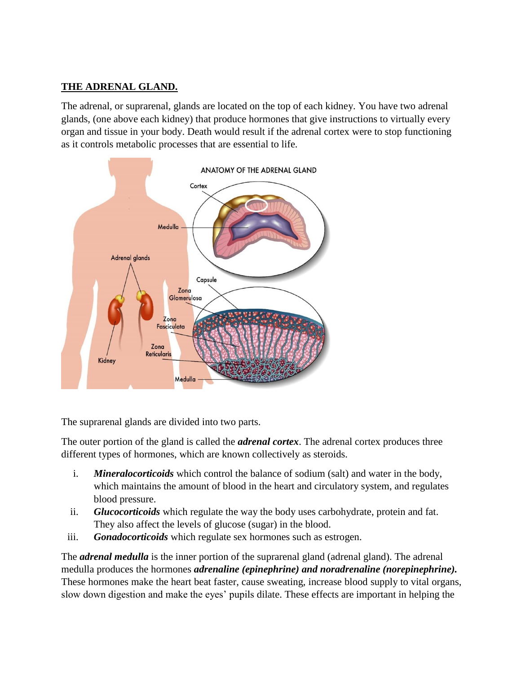# **THE ADRENAL GLAND.**

The adrenal, or suprarenal, glands are located on the top of each kidney. You have two adrenal glands, (one above each kidney) that produce hormones that give instructions to virtually every organ and tissue in your body. Death would result if the adrenal cortex were to stop functioning as it controls metabolic processes that are essential to life.



The suprarenal glands are divided into two parts.

The outer portion of the gland is called the *adrenal cortex*. The adrenal cortex produces three different types of hormones, which are known collectively as steroids.

- i. *Mineralocorticoids* which control the balance of sodium (salt) and water in the body, which maintains the amount of blood in the heart and circulatory system, and regulates blood pressure.
- ii. *Glucocorticoids* which regulate the way the body uses carbohydrate, protein and fat. They also affect the levels of glucose (sugar) in the blood.
- iii. *Gonadocorticoids* which regulate sex hormones such as estrogen.

The *adrenal medulla* is the inner portion of the suprarenal gland (adrenal gland). The adrenal medulla produces the hormones *adrenaline (epinephrine) and noradrenaline (norepinephrine).* These hormones make the heart beat faster, cause sweating, increase blood supply to vital organs, slow down digestion and make the eyes' pupils dilate. These effects are important in helping the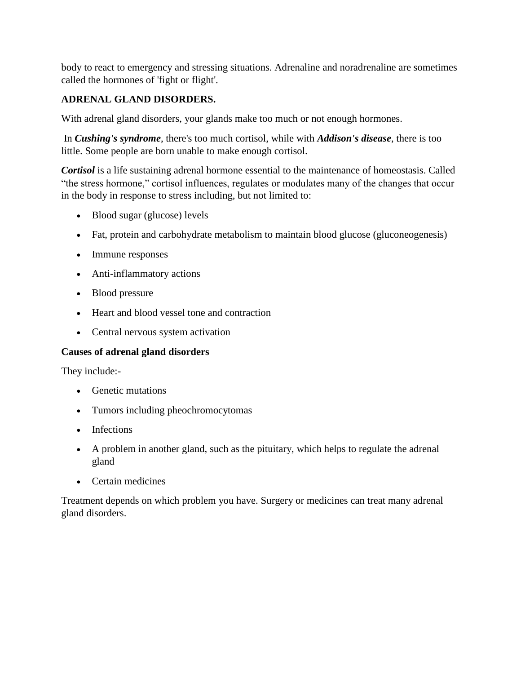body to react to emergency and stressing situations. Adrenaline and noradrenaline are sometimes called the hormones of 'fight or flight'.

# **ADRENAL GLAND DISORDERS.**

With adrenal gland disorders, your glands make too much or not enough hormones.

In *Cushing's syndrome*, there's too much cortisol, while with *Addison's disease*, there is too little. Some people are born unable to make enough cortisol.

*Cortisol* is a life sustaining adrenal hormone essential to the maintenance of homeostasis. Called "the stress hormone," cortisol influences, regulates or modulates many of the changes that occur in the body in response to stress including, but not limited to:

- Blood sugar (glucose) levels
- Fat, protein and carbohydrate metabolism to maintain blood glucose (gluconeogenesis)
- Immune responses
- Anti-inflammatory actions
- Blood pressure
- Heart and blood vessel tone and contraction
- Central nervous system activation

### **Causes of adrenal gland disorders**

They include:-

- Genetic mutations
- Tumors including pheochromocytomas
- Infections
- A problem in another gland, such as the pituitary, which helps to regulate the adrenal gland
- Certain medicines

Treatment depends on which problem you have. Surgery or medicines can treat many adrenal gland disorders.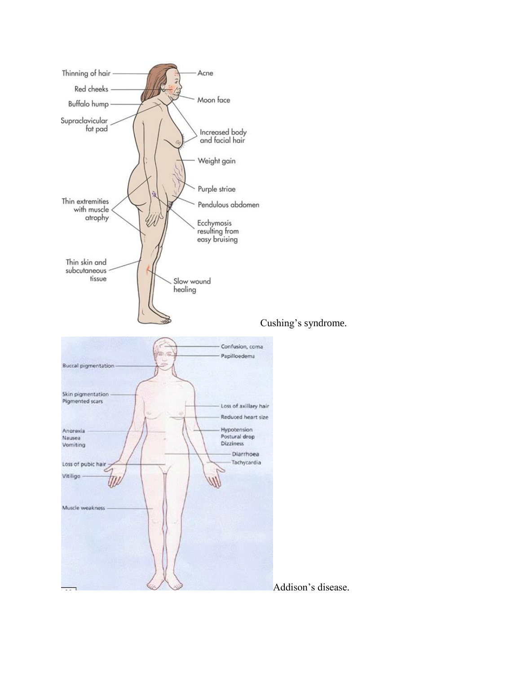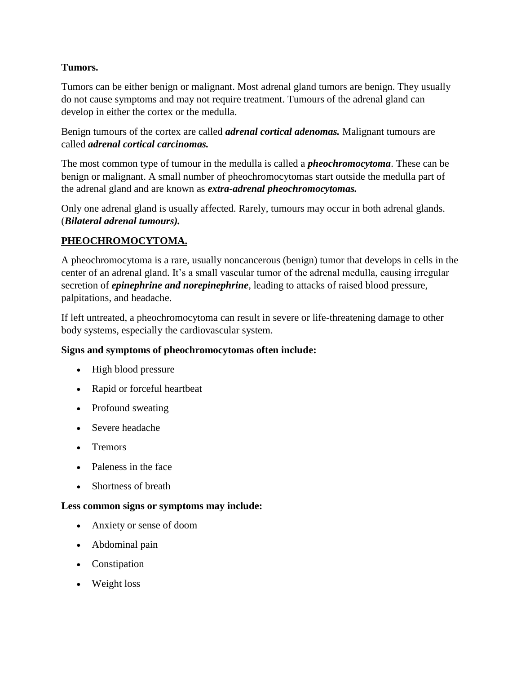### **Tumors.**

Tumors can be either benign or malignant. Most adrenal gland tumors are benign. They usually do not cause symptoms and may not require treatment. Tumours of the adrenal gland can develop in either the cortex or the medulla.

Benign tumours of the cortex are called *adrenal cortical adenomas.* Malignant tumours are called *adrenal cortical carcinomas.*

The most common type of tumour in the medulla is called a *pheochromocytoma*. These can be benign or malignant. A small number of pheochromocytomas start outside the medulla part of the adrenal gland and are known as *extra-adrenal pheochromocytomas.*

Only one adrenal gland is usually affected. Rarely, tumours may occur in both adrenal glands. (*Bilateral adrenal tumours).*

# **PHEOCHROMOCYTOMA.**

A pheochromocytoma is a rare, usually noncancerous (benign) tumor that develops in cells in the center of an adrenal gland. It's a small vascular tumor of the adrenal medulla, causing irregular secretion of *epinephrine and norepinephrine*, leading to attacks of raised blood pressure, palpitations, and headache.

If left untreated, a pheochromocytoma can result in severe or life-threatening damage to other body systems, especially the cardiovascular system.

### **Signs and symptoms of pheochromocytomas often include:**

- High blood pressure
- Rapid or forceful heartbeat
- Profound sweating
- Severe headache
- Tremors
- Paleness in the face
- Shortness of breath

### **Less common signs or symptoms may include:**

- Anxiety or sense of doom
- Abdominal pain
- Constipation
- Weight loss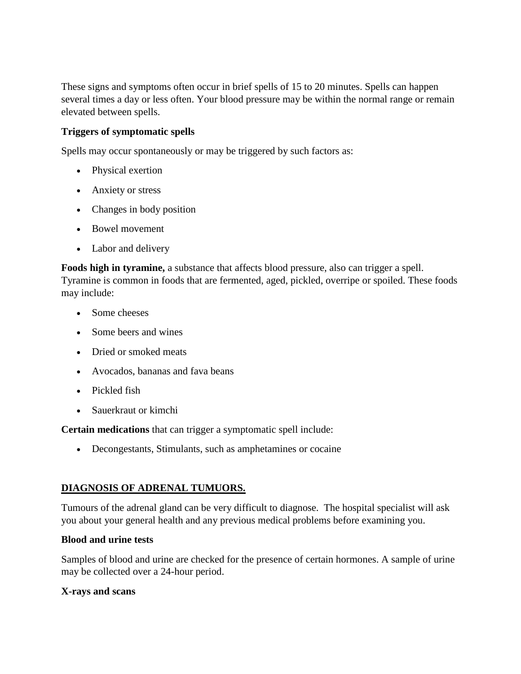These signs and symptoms often occur in brief spells of 15 to 20 minutes. Spells can happen several times a day or less often. Your blood pressure may be within the normal range or remain elevated between spells.

### **Triggers of symptomatic spells**

Spells may occur spontaneously or may be triggered by such factors as:

- Physical exertion
- Anxiety or stress
- Changes in body position
- Bowel movement
- Labor and delivery

**Foods high in tyramine,** a substance that affects blood pressure, also can trigger a spell. Tyramine is common in foods that are fermented, aged, pickled, overripe or spoiled. These foods may include:

- Some cheeses
- Some beers and wines
- Dried or smoked meats
- Avocados, bananas and fava beans
- Pickled fish
- Sauerkraut or kimchi

**Certain medications** that can trigger a symptomatic spell include:

Decongestants, Stimulants, such as amphetamines or cocaine

# **DIAGNOSIS OF ADRENAL TUMUORS.**

Tumours of the adrenal gland can be very difficult to diagnose. The hospital specialist will ask you about your general health and any previous medical problems before examining you.

### **Blood and urine tests**

Samples of blood and urine are checked for the presence of certain hormones. A sample of urine may be collected over a 24-hour period.

### **X-rays and scans**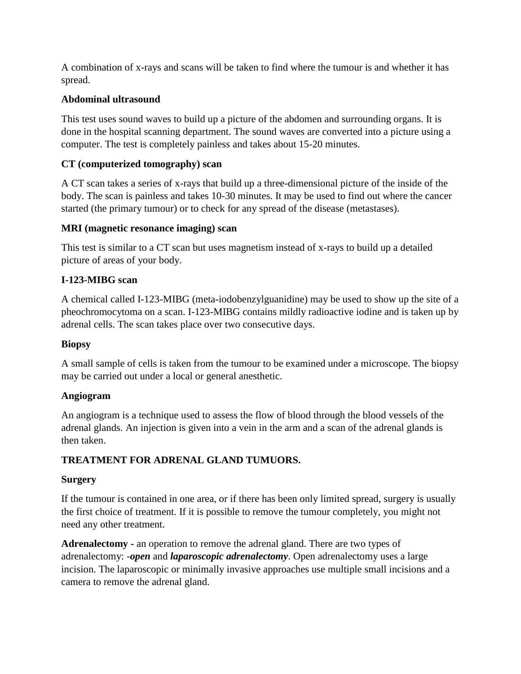A combination of x-rays and scans will be taken to find where the tumour is and whether it has spread.

### **Abdominal ultrasound**

This test uses sound waves to build up a picture of the abdomen and surrounding organs. It is done in the hospital scanning department. The sound waves are converted into a picture using a computer. The test is completely painless and takes about 15-20 minutes.

### **CT (computerized tomography) scan**

A CT scan takes a series of x-rays that build up a three-dimensional picture of the inside of the body. The scan is painless and takes 10-30 minutes. It may be used to find out where the cancer started (the primary tumour) or to check for any spread of the disease (metastases).

### **MRI (magnetic resonance imaging) scan**

This test is similar to a CT scan but uses magnetism instead of x-rays to build up a detailed picture of areas of your body.

# **I-123-MIBG scan**

A chemical called I-123-MIBG (meta-iodobenzylguanidine) may be used to show up the site of a pheochromocytoma on a scan. I-123-MIBG contains mildly radioactive iodine and is taken up by adrenal cells. The scan takes place over two consecutive days.

### **Biopsy**

A small sample of cells is taken from the tumour to be examined under a microscope. The biopsy may be carried out under a local or general anesthetic.

### **Angiogram**

An angiogram is a technique used to assess the flow of blood through the blood vessels of the adrenal glands. An injection is given into a vein in the arm and a scan of the adrenal glands is then taken.

# **TREATMENT FOR ADRENAL GLAND TUMUORS.**

### **Surgery**

If the tumour is contained in one area, or if there has been only limited spread, surgery is usually the first choice of treatment. If it is possible to remove the tumour completely, you might not need any other treatment.

**Adrenalectomy -** an operation to remove the adrenal gland. There are two types of adrenalectomy: -*open* and *laparoscopic adrenalectomy*. Open adrenalectomy uses a large incision. The laparoscopic or minimally invasive approaches use multiple small incisions and a camera to remove the adrenal gland.